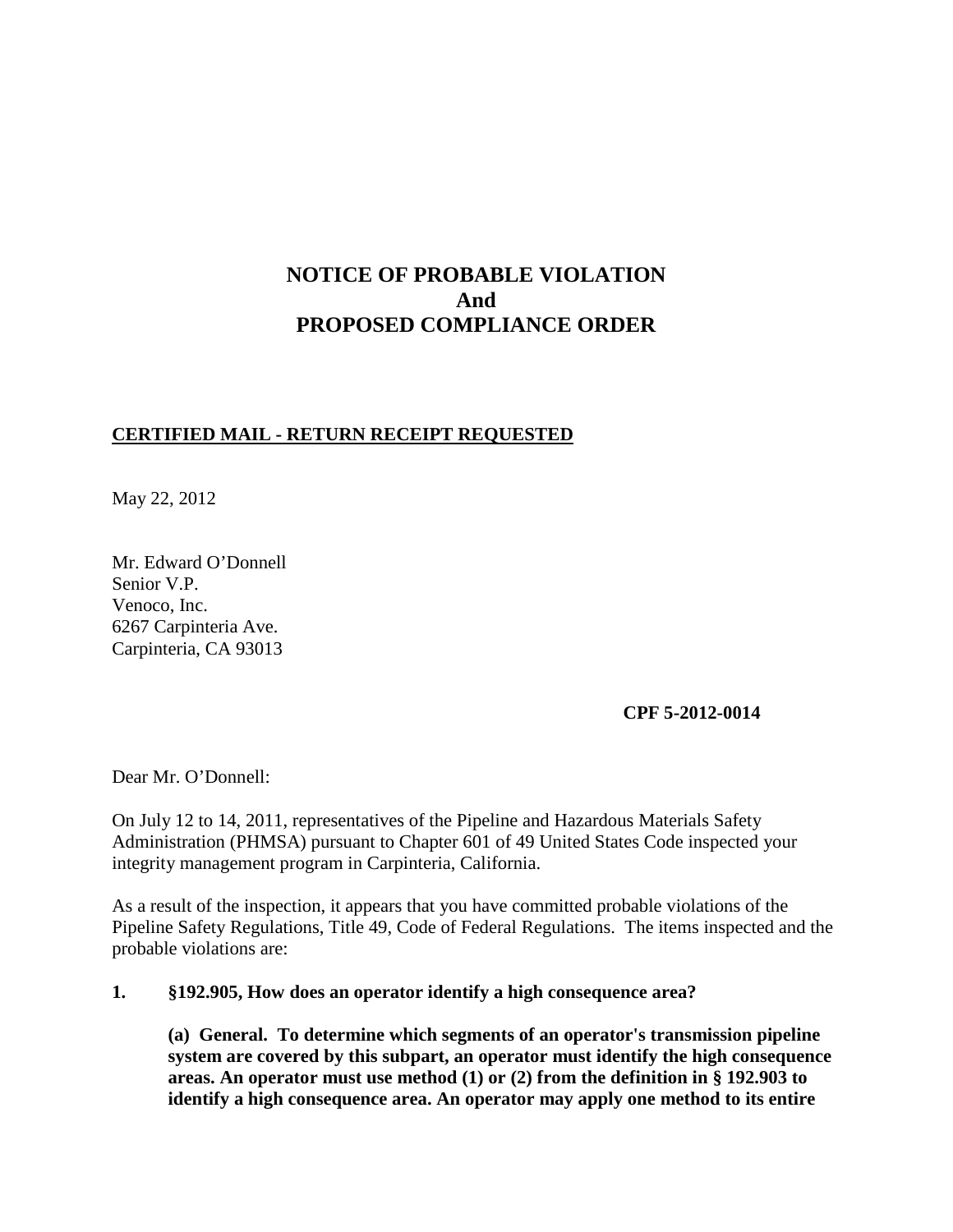# **NOTICE OF PROBABLE VIOLATION And PROPOSED COMPLIANCE ORDER**

## **CERTIFIED MAIL - RETURN RECEIPT REQUESTED**

May 22, 2012

Mr. Edward O'Donnell Senior V.P. Venoco, Inc. 6267 Carpinteria Ave. Carpinteria, CA 93013

**CPF 5-2012-0014**

Dear Mr. O'Donnell:

On July 12 to 14, 2011, representatives of the Pipeline and Hazardous Materials Safety Administration (PHMSA) pursuant to Chapter 601 of 49 United States Code inspected your integrity management program in Carpinteria, California.

As a result of the inspection, it appears that you have committed probable violations of the Pipeline Safety Regulations, Title 49, Code of Federal Regulations. The items inspected and the probable violations are:

#### **1. §192.905, How does an operator identify a high consequence area?**

**(a) General. To determine which segments of an operator's transmission pipeline system are covered by this subpart, an operator must identify the high consequence areas. An operator must use method (1) or (2) from the definition in § 192.903 to identify a high consequence area. An operator may apply one method to its entire**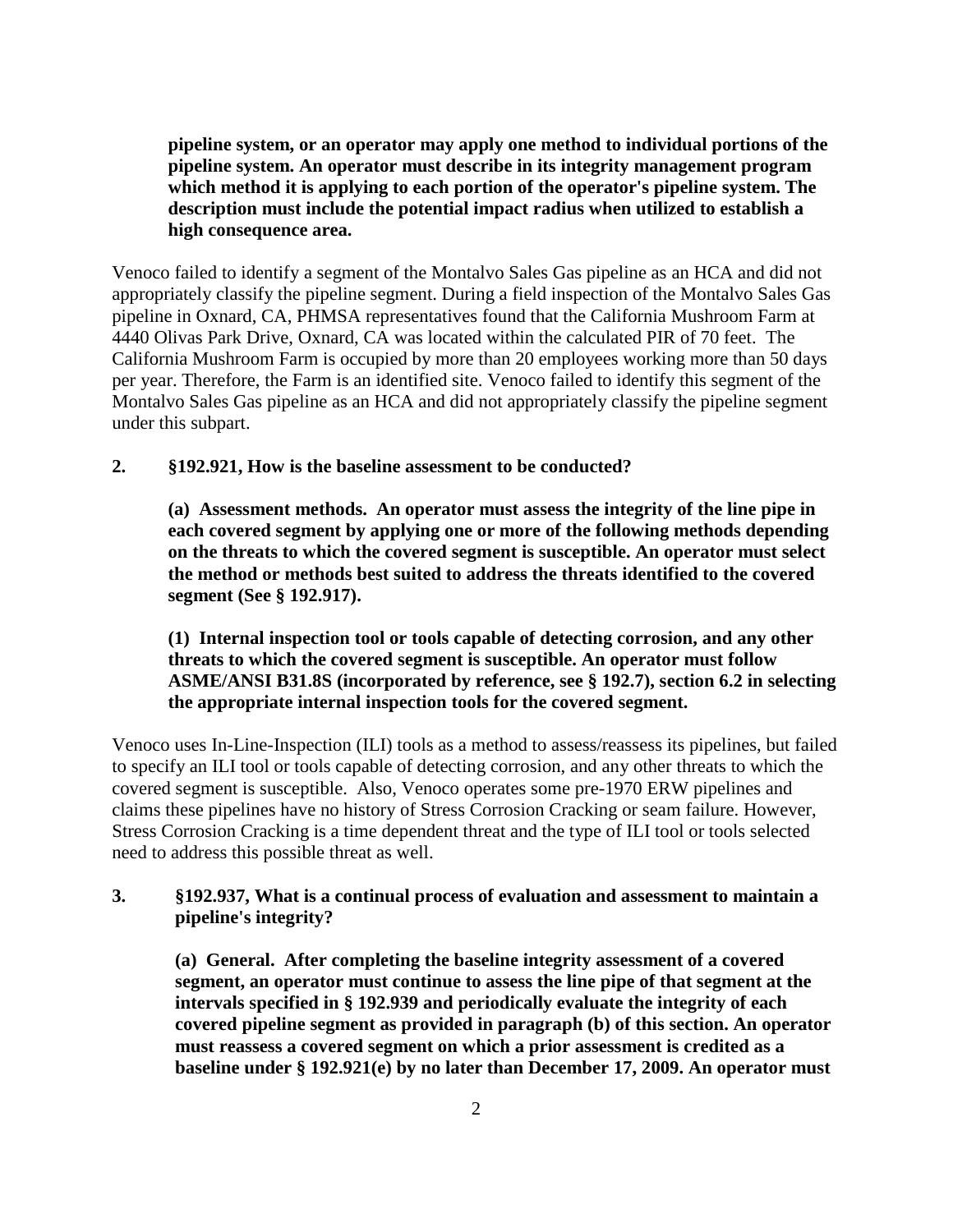**pipeline system, or an operator may apply one method to individual portions of the pipeline system. An operator must describe in its integrity management program which method it is applying to each portion of the operator's pipeline system. The description must include the potential impact radius when utilized to establish a high consequence area.**

Venoco failed to identify a segment of the Montalvo Sales Gas pipeline as an HCA and did not appropriately classify the pipeline segment. During a field inspection of the Montalvo Sales Gas pipeline in Oxnard, CA, PHMSA representatives found that the California Mushroom Farm at 4440 Olivas Park Drive, Oxnard, CA was located within the calculated PIR of 70 feet. The California Mushroom Farm is occupied by more than 20 employees working more than 50 days per year. Therefore, the Farm is an identified site. Venoco failed to identify this segment of the Montalvo Sales Gas pipeline as an HCA and did not appropriately classify the pipeline segment under this subpart.

### **2. §192.921, How is the baseline assessment to be conducted?**

**(a) Assessment methods. An operator must assess the integrity of the line pipe in each covered segment by applying one or more of the following methods depending on the threats to which the covered segment is susceptible. An operator must select the method or methods best suited to address the threats identified to the covered segment (See § 192.917).**

**(1) Internal inspection tool or tools capable of detecting corrosion, and any other threats to which the covered segment is susceptible. An operator must follow ASME/ANSI B31.8S (incorporated by reference, see § 192.7), section 6.2 in selecting the appropriate internal inspection tools for the covered segment.**

Venoco uses In-Line-Inspection (ILI) tools as a method to assess/reassess its pipelines, but failed to specify an ILI tool or tools capable of detecting corrosion, and any other threats to which the covered segment is susceptible. Also, Venoco operates some pre-1970 ERW pipelines and claims these pipelines have no history of Stress Corrosion Cracking or seam failure. However, Stress Corrosion Cracking is a time dependent threat and the type of ILI tool or tools selected need to address this possible threat as well.

## **3. §192.937, What is a continual process of evaluation and assessment to maintain a pipeline's integrity?**

**(a) General. After completing the baseline integrity assessment of a covered segment, an operator must continue to assess the line pipe of that segment at the intervals specified in § 192.939 and periodically evaluate the integrity of each covered pipeline segment as provided in paragraph (b) of this section. An operator must reassess a covered segment on which a prior assessment is credited as a baseline under § 192.921(e) by no later than December 17, 2009. An operator must**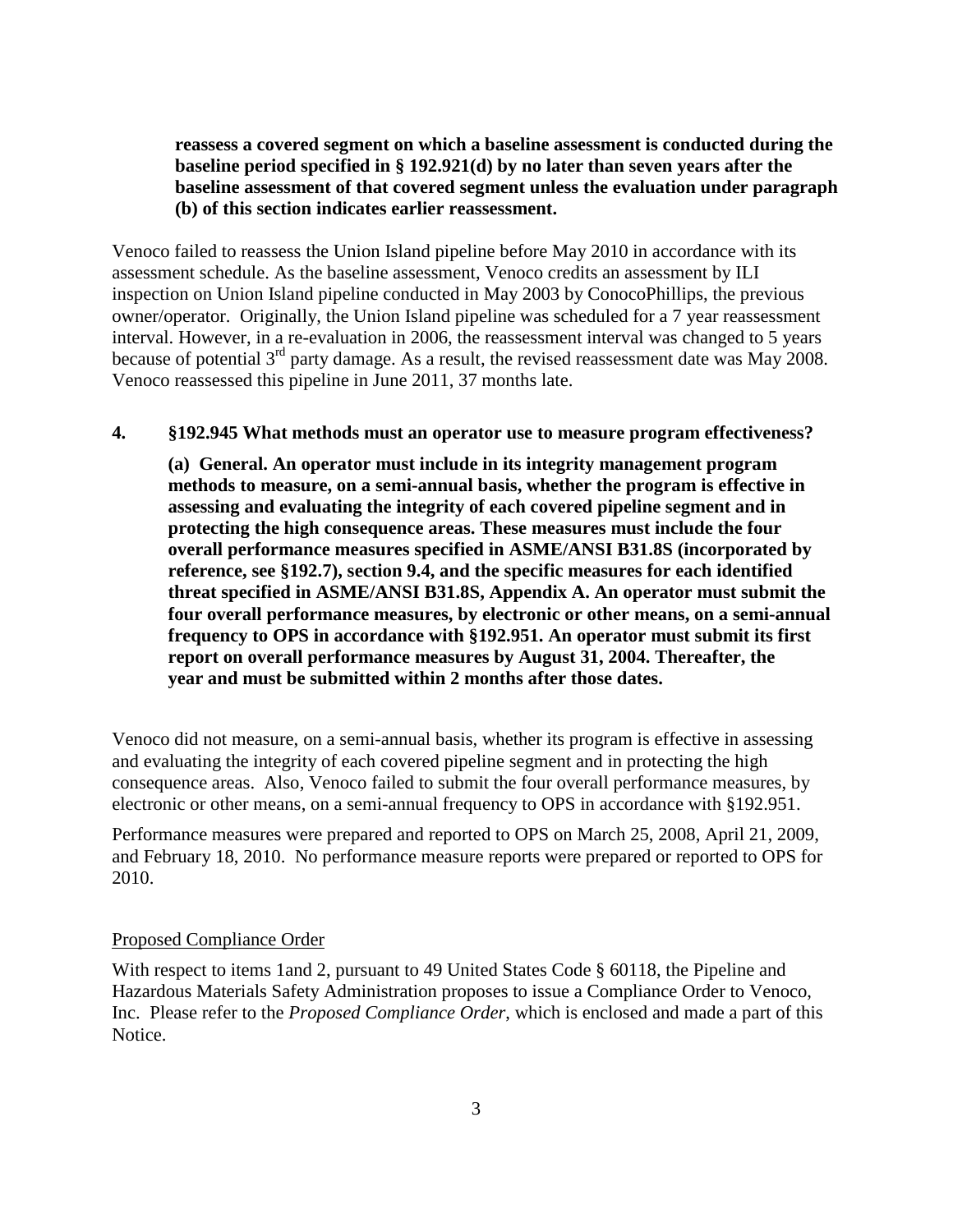## **reassess a covered segment on which a baseline assessment is conducted during the baseline period specified in § 192.921(d) by no later than seven years after the baseline assessment of that covered segment unless the evaluation under paragraph (b) of this section indicates earlier reassessment.**

Venoco failed to reassess the Union Island pipeline before May 2010 in accordance with its assessment schedule. As the baseline assessment, Venoco credits an assessment by ILI inspection on Union Island pipeline conducted in May 2003 by ConocoPhillips, the previous owner/operator. Originally, the Union Island pipeline was scheduled for a 7 year reassessment interval. However, in a re-evaluation in 2006, the reassessment interval was changed to 5 years because of potential 3<sup>rd</sup> party damage. As a result, the revised reassessment date was May 2008. Venoco reassessed this pipeline in June 2011, 37 months late.

#### **4. §192.945 What methods must an operator use to measure program effectiveness?**

**(a) General. An operator must include in its integrity management program methods to measure, on a semi-annual basis, whether the program is effective in assessing and evaluating the integrity of each covered pipeline segment and in protecting the high consequence areas. These measures must include the four overall performance measures specified in ASME/ANSI B31.8S (incorporated by reference, see §192.7), section 9.4, and the specific measures for each identified threat specified in ASME/ANSI B31.8S, Appendix A. An operator must submit the four overall performance measures, by electronic or other means, on a semi-annual frequency to OPS in accordance with §192.951. An operator must submit its first report on overall performance measures by August 31, 2004. Thereafter, the year and must be submitted within 2 months after those dates.**

Venoco did not measure, on a semi-annual basis, whether its program is effective in assessing and evaluating the integrity of each covered pipeline segment and in protecting the high consequence areas. Also, Venoco failed to submit the four overall performance measures, by electronic or other means, on a semi-annual frequency to OPS in accordance with §192.951.

Performance measures were prepared and reported to OPS on March 25, 2008, April 21, 2009, and February 18, 2010. No performance measure reports were prepared or reported to OPS for 2010.

#### Proposed Compliance Order

With respect to items 1and 2, pursuant to 49 United States Code § 60118, the Pipeline and Hazardous Materials Safety Administration proposes to issue a Compliance Order to Venoco, Inc. Please refer to the *Proposed Compliance Order*, which is enclosed and made a part of this Notice.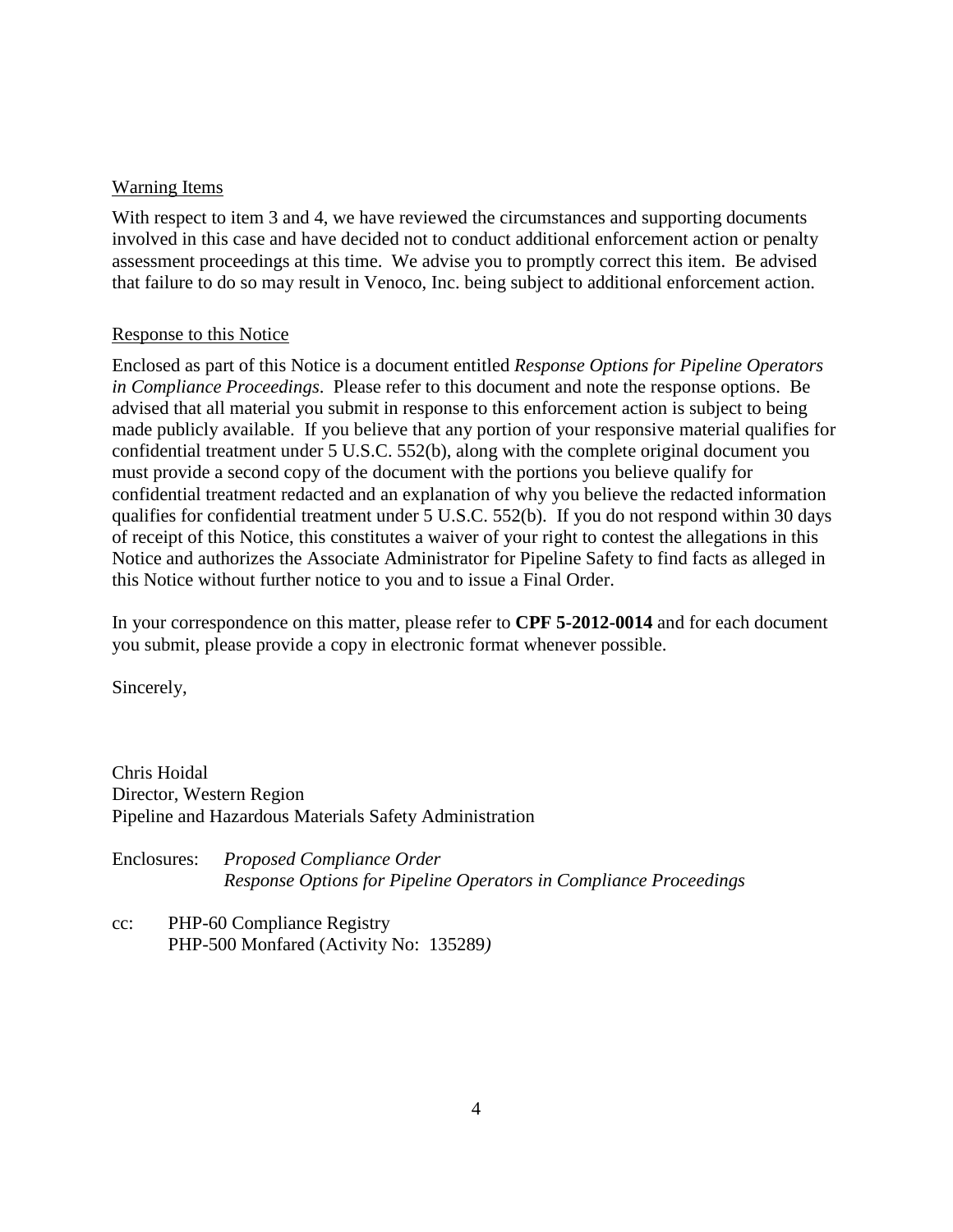## Warning Items

With respect to item 3 and 4, we have reviewed the circumstances and supporting documents involved in this case and have decided not to conduct additional enforcement action or penalty assessment proceedings at this time. We advise you to promptly correct this item. Be advised that failure to do so may result in Venoco, Inc. being subject to additional enforcement action.

## Response to this Notice

Enclosed as part of this Notice is a document entitled *Response Options for Pipeline Operators in Compliance Proceedings*. Please refer to this document and note the response options. Be advised that all material you submit in response to this enforcement action is subject to being made publicly available. If you believe that any portion of your responsive material qualifies for confidential treatment under 5 U.S.C. 552(b), along with the complete original document you must provide a second copy of the document with the portions you believe qualify for confidential treatment redacted and an explanation of why you believe the redacted information qualifies for confidential treatment under 5 U.S.C. 552(b). If you do not respond within 30 days of receipt of this Notice, this constitutes a waiver of your right to contest the allegations in this Notice and authorizes the Associate Administrator for Pipeline Safety to find facts as alleged in this Notice without further notice to you and to issue a Final Order.

In your correspondence on this matter, please refer to **CPF 5-2012-0014** and for each document you submit, please provide a copy in electronic format whenever possible.

Sincerely,

Chris Hoidal Director, Western Region Pipeline and Hazardous Materials Safety Administration

Enclosures: *Proposed Compliance Order Response Options for Pipeline Operators in Compliance Proceedings*

cc: PHP-60 Compliance Registry PHP-500 Monfared (Activity No: 135289*)*